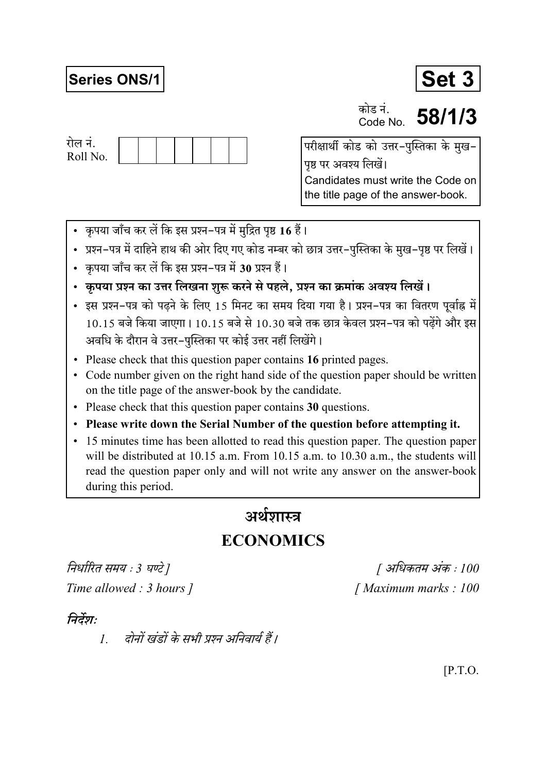## **Series ONS/1**



कोड नं Code No

58/1/3



परीक्षार्थी कोड को उत्तर-पुस्तिका के मुख-पृष्ठ पर अवश्य लिखें। Candidates must write the Code on the title page of the answer-book.

- कृपया जाँच कर लें कि इस प्रश्न-पत्र में मुद्रित पृष्ठ 16 हैं।
- प्रश्न–पत्र में दाहिने हाथ की ओर दिए गए कोड नम्बर को छात्र उत्तर–पुस्तिका के मुख–पृष्ठ पर लिखें।
- कपया जाँच कर लें कि इस प्रश्न-पत्र में 30 प्रश्न हैं।
- कृपया प्रश्न का उत्तर लिखना शुरू करने से पहले, प्रश्न का क्रमांक अवश्य लिखें।
- इस प्रश्न-पत्र को पढने के लिए 15 मिनट का समय दिया गया है। प्रश्न-पत्र का वितरण पूर्वाह्न में  $10.15$  बजे किया जाएगा।  $10.15$  बजे से  $10.30$  बजे तक छात्र केवल प्रश्न-पत्र को पढेंगे और इस अवधि के दौरान वे उत्तर-पस्तिका पर कोई उत्तर नहीं लिखेंगे।
- Please check that this question paper contains 16 printed pages.
- Code number given on the right hand side of the question paper should be written on the title page of the answer-book by the candidate.
- Please check that this question paper contains 30 questions.
- Please write down the Serial Number of the question before attempting it.
- 15 minutes time has been allotted to read this question paper. The question paper will be distributed at 10.15 a.m. From 10.15 a.m. to 10.30 a.m., the students will read the question paper only and will not write any answer on the answer-book during this period.

# अर्थशास्त्र

## **ECONOMICS**

निर्धारित समय : 3 घण्टे ] Time allowed : 3 hours 1

[ अधिकतम अंक : 100 [Maximum marks: 100]

## निर्देश:

दोनों खंडों के सभी प्रश्न अनिवार्य हैं।  $\mathcal{I}$ 

 $[$ P.T.O.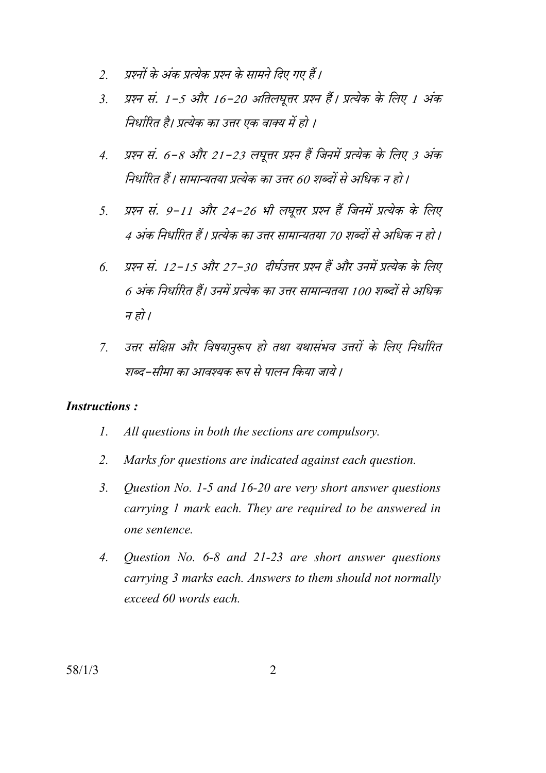- प्रश्नों के अंक प्रत्येक प्रश्न के सामने दिए गए हैं।  $\overline{2}$
- प्रश्न सं. 1-5 और 16-20 अतिलघूत्तर प्रश्न हैं। प्रत्येक के लिए 1 अंक  $\mathcal{E}$ निर्धारित है। प्रत्येक का उत्तर एक वाक्य में हो ।
- प्रश्न सं. 6-8 और 21-23 लघूत्तर प्रश्न हैं जिनमें प्रत्येक के लिए 3 अंक  $\overline{4}$ . निर्धारित हैं। सामान्यतया प्रत्येक का उत्तर 60 शब्दों से अधिक न हो।
- प्रश्न सं. 9-11 और 24-26 भी लघूत्तर प्रश्न हैं जिनमें प्रत्येक के लिए  $5<sub>1</sub>$ 4 अंक निर्धारित हैं। प्रत्येक का उत्तर सामान्यतया 70 शब्दों से अधिक न हो।
- प्रश्न सं. 12-15 और 27-30 दीर्घउत्तर प्रश्न हैं और उनमें प्रत्येक के लिए  $\overline{6}$ 6 अंक निर्धारित हैं। उनमें प्रत्येक का उत्तर सामान्यतया 100 शब्दों से अधिक न हो ।
- उत्तर संक्षिप्त और विषयानुरूप हो तथा यथासंभव उत्तरों के लिए निर्धारित  $\overline{7}$ शब्द–सीमा का आवश्यक रूप से पालन किया जाये ।

#### **Instructions:**

- $\mathcal{I}$ . All questions in both the sections are compulsory.
- $2.$ Marks for questions are indicated against each question.
- $\mathcal{E}$ Question No. 1-5 and 16-20 are very short answer questions carrying 1 mark each. They are required to be answered in one sentence.
- $\overline{4}$ . Question No.  $6-8$  and  $21-23$  are short answer questions carrying 3 marks each. Answers to them should not normally exceed 60 words each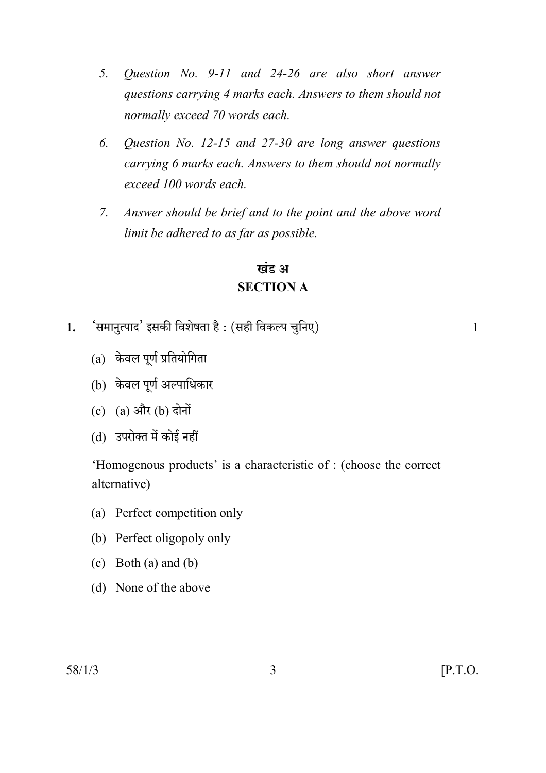- 5. Question No. 9-11 and 24-26 are also short answer questions carrying 4 marks each. Answers to them should not normally exceed 70 words each.
- Question No. 12-15 and 27-30 are long answer questions 6. carrying 6 marks each. Answers to them should not normally exceed 100 words each.
- Answer should be brief and to the point and the above word  $7.$ limit be adhered to as far as possible.

## खंड अ **SECTION A**

- 'समानत्पाद' इसकी विशेषता है : (सही विकल्प चनिए)  $1.$ 
	- $(a)$  केवल पूर्ण प्रतियोगिता
	- (b) केवल पूर्ण अल्पाधिकार
	- (c)  $(a)$  और  $(b)$  दोनों
	- (d) उपरोक्त में कोई नहीं

'Homogenous products' is a characteristic of : (choose the correct alternative)

- (a) Perfect competition only
- (b) Perfect oligopoly only
- (c) Both (a) and (b)
- (d) None of the above

 $\mathbf{1}$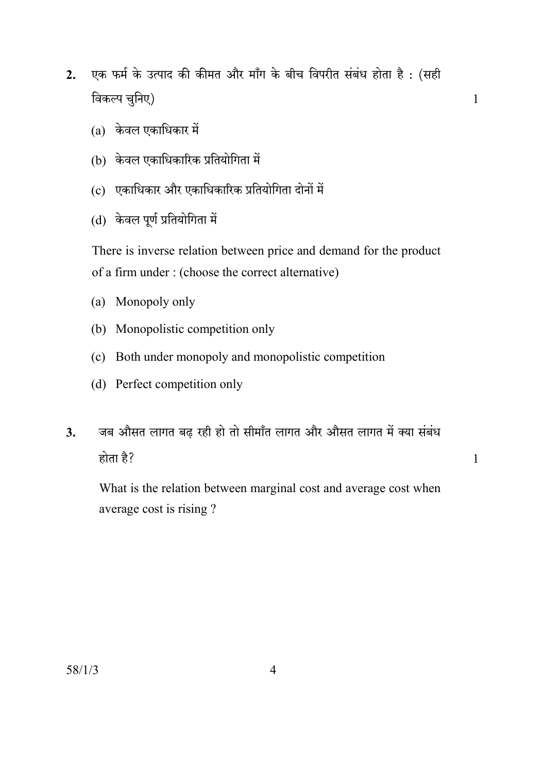- एक फर्म के उत्पाद की कीमत और माँग के बीच विपरीत संबंध होता है: (सही  $2.$ विकल्प चुनिए)
	- $(a)$  केवल एकाधिकार में
	- (b) केवल एकाधिकारिक प्रतियोगिता में
	- (c) एकाधिकार और एकाधिकारिक प्रतियोगिता दोनों में
	- (d) केवल पूर्ण प्रतियोगिता में

There is inverse relation between price and demand for the product of a firm under: (choose the correct alternative)

- (a) Monopoly only
- (b) Monopolistic competition only
- (c) Both under monopoly and monopolistic competition
- (d) Perfect competition only
- जब औसत लागत बढ़ रही हो तो सीमाँत लागत और औसत लागत में क्या संबंध  $\mathbf{3}$ . होता है?

 $\mathbf{1}$ 

 $\mathbf{1}$ 

What is the relation between marginal cost and average cost when average cost is rising?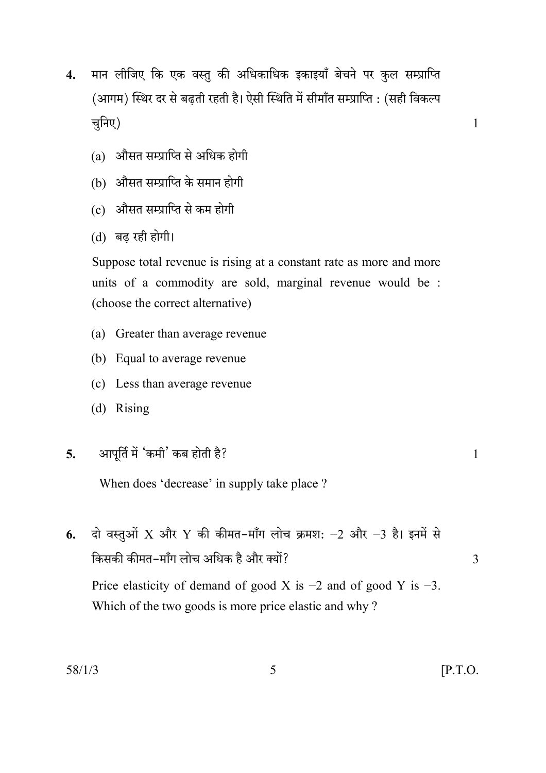- मान लीजिए कि एक वस्तु की अधिकाधिक इकाइयाँ बेचने पर कुल सम्प्राप्ति  $\overline{4}$ . (आगम) स्थिर दर से बढती रहती है। ऐसी स्थिति में सीमाँत सम्प्राप्ति : (सही विकल्प चुनिए)
	- (a) औसत सम्प्राप्ति से अधिक होगी
	- (b) औसत सम्प्राप्ति के समान होगी
	- (c) औसत सम्प्राप्ति से कम होगी
	- (d) बढ रही होगी।

Suppose total revenue is rising at a constant rate as more and more units of a commodity are sold, marginal revenue would be : (choose the correct alternative)

- (a) Greater than average revenue
- (b) Equal to average revenue
- (c) Less than average revenue
- (d) Rising

#### आपूर्ति में 'कमी' कब होती है?  $\overline{5}$ .

When does 'decrease' in supply take place ?

दो वस्तुओं X और Y की कीमत-माँग लोच क्रमश: -2 और -3 है। इनमें से 6. किसकी कीमत-माँग लोच अधिक है और क्यों? Price elasticity of demand of good X is  $-2$  and of good Y is  $-3$ .

Which of the two goods is more price elastic and why?

 $\mathbf{1}$ 

 $\mathcal{E}$ 

 $\mathbf{1}$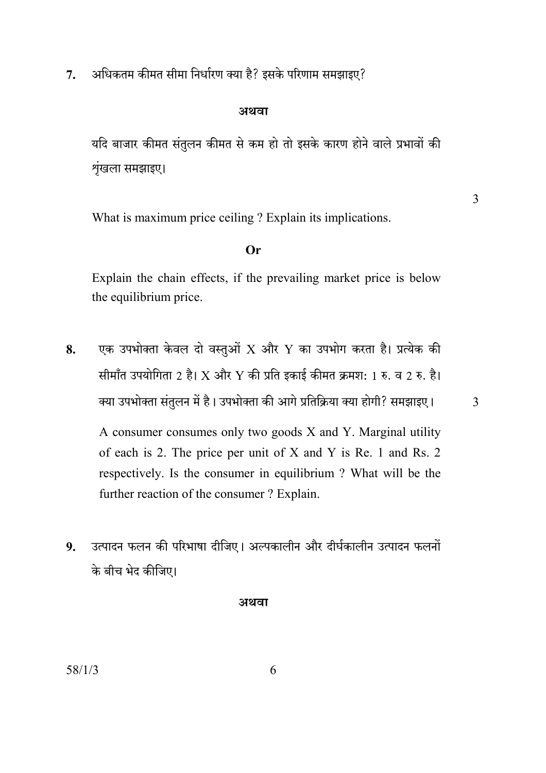अधिकतम कीमत सीमा निर्धारण क्या है? इसके परिणाम समझाइए?  $7<sub>1</sub>$ 

#### अथवा

यदि बाजार कीमत संतुलन कीमत से कम हो तो इसके कारण होने वाले प्रभावों की शृंखला समझाइए।

What is maximum price ceiling? Explain its implications.

#### $Or$

Explain the chain effects, if the prevailing market price is below the equilibrium price.

एक उपभोक्ता केवल दो वस्तुओं  $\overline{X}$  और  $\overline{Y}$  का उपभोग करता है। प्रत्येक की 8. सीमाँत उपयोगिता 2 है। X और Y की प्रति इकाई कीमत क्रमश: 1 रु. व 2 रु. है। क्या उपभोक्ता संतुलन में है। उपभोक्ता की आगे प्रतिक्रिया क्या होगी? समझाइए।

A consumer consumes only two goods X and Y. Marginal utility of each is 2. The price per unit of X and Y is Re. 1 and Rs. 2 respectively. Is the consumer in equilibrium ? What will be the further reaction of the consumer? Explain.

उत्पादन फलन की परिभाषा दीजिए। अल्पकालीन और दीर्घकालीन उत्पादन फलनों 9. के बीच भेद कीजिए।

अथवा

3

 $\overline{3}$ 

6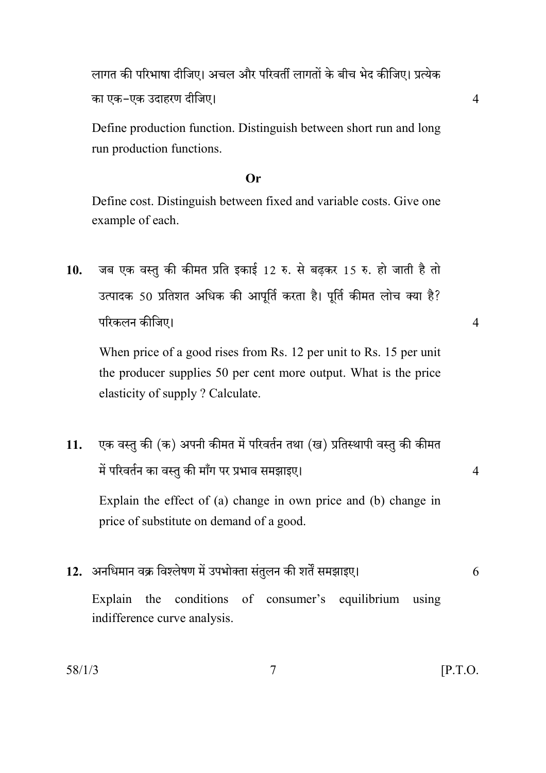लागत की परिभाषा दीजिए। अचल और परिवर्ती लागतों के बीच भेद कीजिए। प्रत्येक का एक-एक उदाहरण दीजिए।

Define production function. Distinguish between short run and long run production functions.

#### $Or$

Define cost. Distinguish between fixed and variable costs. Give one example of each.

जब एक वस्तु की कीमत प्रति इकाई 12 रु. से बढ़कर 15 रु. हो जाती है तो 10. उत्पादक 50 प्रतिशत अधिक की आपूर्ति करता है। पूर्ति कीमत लोच क्या है? परिकलन कीजिए।

When price of a good rises from Rs. 12 per unit to Rs. 15 per unit the producer supplies 50 per cent more output. What is the price elasticity of supply ? Calculate.

एक वस्तु की (क) अपनी कीमत में परिवर्तन तथा (ख) प्रतिस्थापी वस्तु की कीमत 11. में परिवर्तन का वस्तु की माँग पर प्रभाव समझाइए।

Explain the effect of (a) change in own price and (b) change in price of substitute on demand of a good.

12. अनधिमान वक्र विश्लेषण में उपभोक्ता संतुलन की शर्तें समझाइए। the conditions of consumer's equilibrium using Explain indifference curve analysis.

 $\overline{7}$ 

 $[$ P.T.O.

 $\overline{4}$ 

 $\overline{4}$ 

6

 $\overline{4}$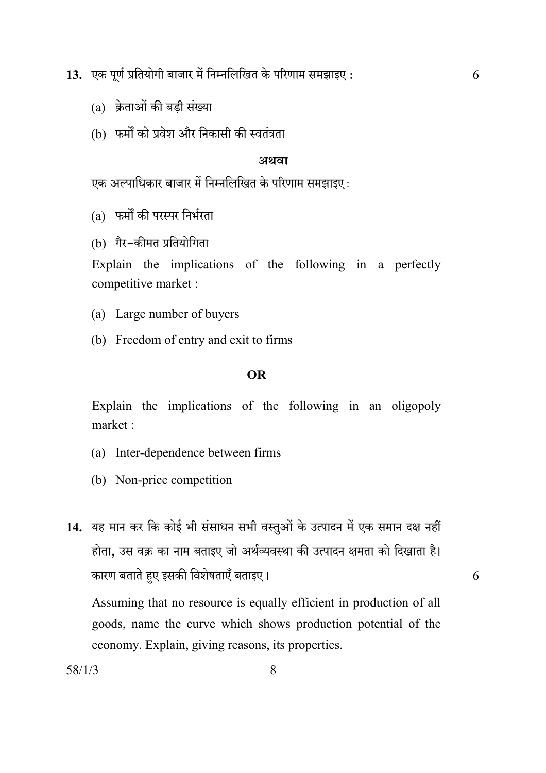13. एक पूर्ण प्रतियोगी बाजार में निम्नलिखित के परिणाम समझाइए:

- (a) क्रेताओं की बडी संख्या
- (b) फर्मों को प्रवेश और निकासी की स्वतंत्रता

#### अथवा

6

6

एक अल्पाधिकार बाजार में निम्नलिखित के परिणाम समझाइए :

(a) फर्मों की परस्पर निर्भरता

(b) गैर-कीमत प्रतियोगिता

Explain the implications of the following in a perfectly competitive market :

- (a) Large number of buyers
- (b) Freedom of entry and exit to firms

#### **OR**

Explain the implications of the following in an oligopoly market:

- (a) Inter-dependence between firms
- (b) Non-price competition
- 14. यह मान कर कि कोई भी संसाधन सभी वस्तुओं के उत्पादन में एक समान दक्ष नहीं होता, उस वक्र का नाम बताइए जो अर्थव्यवस्था की उत्पादन क्षमता को दिखाता है। कारण बताते हुए इसकी विशेषताएँ बताइए।

Assuming that no resource is equally efficient in production of all goods, name the curve which shows production potential of the economy. Explain, giving reasons, its properties.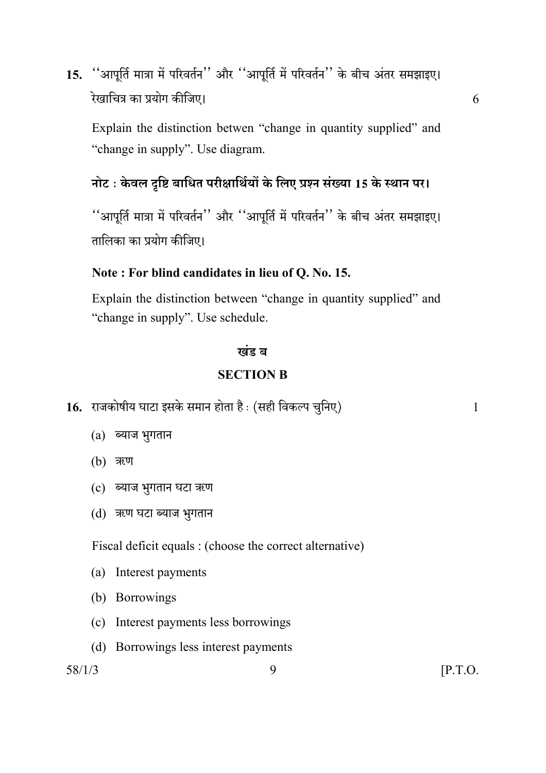''आपूर्ति मात्रा में परिवर्तन'' और ''आपूर्ति में परिवर्तन'' के बीच अंतर समझाइए। 15. रेखाचित्र का प्रयोग कीजिए।

Explain the distinction betwen "change in quantity supplied" and "change in supply". Use diagram.

## नोट: केवल दृष्टि बाधित परीक्षार्थियों के लिए प्रश्न संख्या 15 के स्थान पर।

''आपूर्ति मात्रा में परिवर्तन'' और ''आपूर्ति में परिवर्तन'' के बीच अंतर समझाइए। तालिका का प्रयोग कीजिए।

### Note: For blind candidates in lieu of Q. No. 15.

Explain the distinction between "change in quantity supplied" and "change in supply". Use schedule.

#### खंड ब

#### **SECTION B**

- 16. राजकोषीय घाटा इसके समान होता है: (सही विकल्प चुनिए)
	- $(a)$  ब्याज भुगतान
	- (b) ऋण
	- (c) ब्याज भुगतान घटा ऋण
	- (d) ऋण घटा ब्याज भुगतान

Fiscal deficit equals : (choose the correct alternative)

9

- (a) Interest payments
- (b) Borrowings
- (c) Interest payments less borrowings
- (d) Borrowings less interest payments

 $58/1/3$ 

 $\mathbf{1}$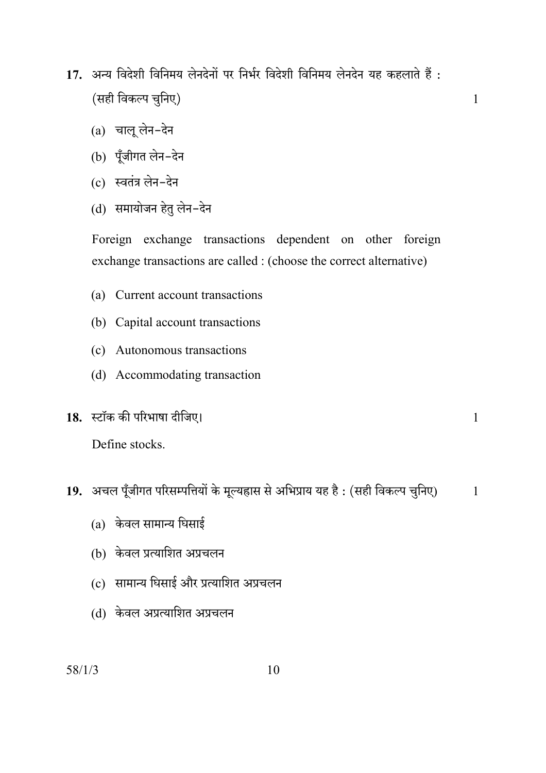17. अन्य विदेशी विनिमय लेनदेनों पर निर्भर विदेशी विनिमय लेनदेन यह कहलाते हैं : (सही विकल्प चुनिए)

 $\mathbf{1}$ 

 $\mathbf{1}$ 

- $(a)$  चालू लेन-देन
- (b) पूँजीगत लेन-देन
- (c) स्वतंत्र लेन-देन
- (d) समायोजन हेतु लेन-देन

Foreign exchange transactions dependent on other foreign exchange transactions are called : (choose the correct alternative)

- (a) Current account transactions
- (b) Capital account transactions
- (c) Autonomous transactions
- (d) Accommodating transaction
- 18. स्टॉक की परिभाषा दीजिए।

Define stocks.

- 19. अचल पूँजीगत परिसम्पत्तियों के मूल्यह्रास से अभिप्राय यह है: (सही विकल्प चुनिए)  $\mathbf{1}$ 
	- $(a)$  केवल सामान्य घिसाई
	- (b) केवल प्रत्याशित अप्रचलन
	- (c) सामान्य घिसाई और प्रत्याशित अप्रचलन
	- (d) केवल अप्रत्याशित अप्रचलन

 $58/1/3$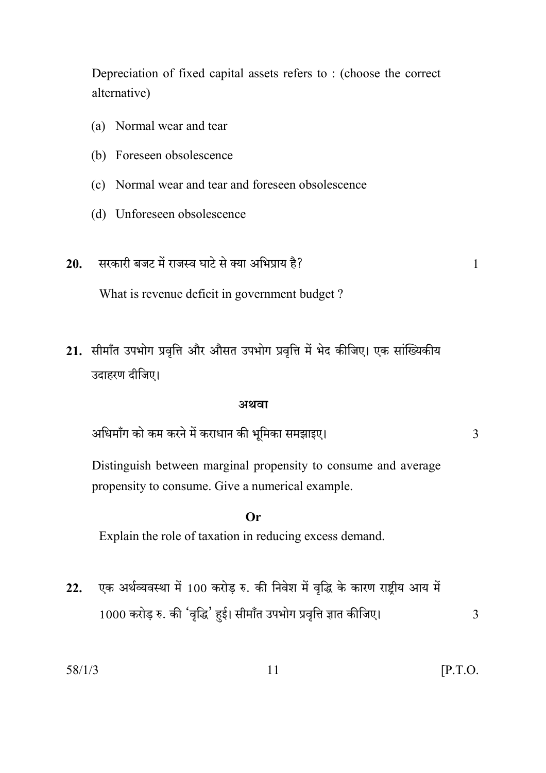Depreciation of fixed capital assets refers to: (choose the correct alternative)

- (a) Normal wear and tear
- (b) Foreseen obsolescence
- (c) Normal wear and tear and foreseen obsolescence
- (d) Unforeseen obsolescence
- सरकारी बजट में राजस्व घाटे से क्या अभिप्राय है?  $20.$

 $\mathbf{1}$ 

What is revenue deficit in government budget?

21. सीमाँत उपभोग प्रवृत्ति और औसत उपभोग प्रवृत्ति में भेद कीजिए। एक सांख्यिकीय उदाहरण दीजिए।

#### अथवा

अधिमाँग को कम करने में कराधान की भूमिका समझाइए।

 $\overline{3}$ 

Distinguish between marginal propensity to consume and average propensity to consume. Give a numerical example.

#### Or

Explain the role of taxation in reducing excess demand.

एक अर्थव्यवस्था में 100 करोड़ रु. की निवेश में वृद्धि के कारण राष्ट्रीय आय में  $22.$ 1000 करोड़ रु. की 'वृद्धि' हुई। सीमाँत उपभोग प्रवृत्ति ज्ञात कीजिए।

 $58/1/3$ 

 $[$ P.T.O.

 $\overline{3}$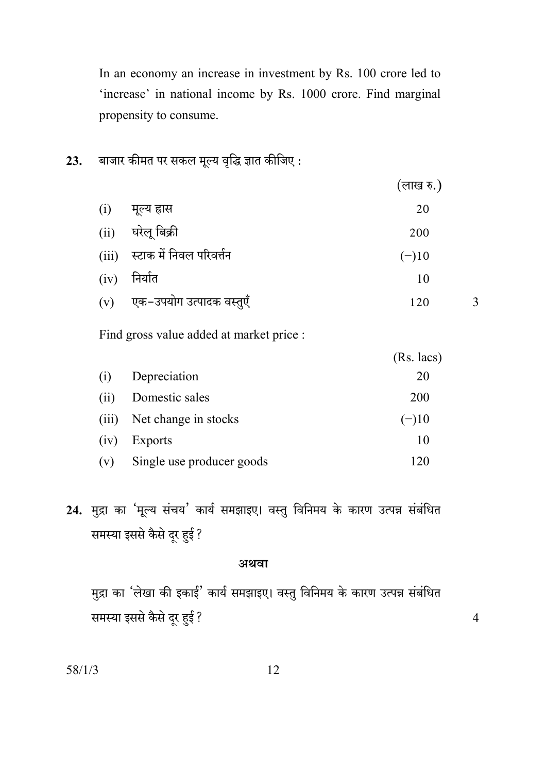In an economy an increase in investment by Rs. 100 crore led to 'increase' in national income by Rs. 1000 crore. Find marginal propensity to consume.

#### बाजार कीमत पर सकल मूल्य वृद्धि ज्ञात कीजिए : 23.

|      |                                 | (लाख रु.) |
|------|---------------------------------|-----------|
| (i)  | मूल्य ह्रास                     | 20        |
| (ii) | घरेलू बिक्री                    | 200       |
|      | (iii) स्टाक में निवल परिवर्त्तन | $(-)10$   |
|      | $(iv)$ निर्यात                  | 10        |
|      | (v) एक-उपयोग उत्पादक वस्तुएँ    | 120       |

 $\overline{3}$ 

 $\overline{4}$ 

Find gross value added at market price :

|       |                           | $(Rs.$ lacs) |
|-------|---------------------------|--------------|
| (i)   | Depreciation              | 20           |
| (i)   | Domestic sales            | 200          |
| (111) | Net change in stocks      | $(-)10$      |
| (iv)  | Exports                   | 10           |
| (v)   | Single use producer goods | 120          |

# 24. मुद्रा का 'मूल्य संचय' कार्य समझाइए। वस्तु विनिमय के कारण उत्पन्न संबंधित समस्या इससे कैसे दूर हुई?

#### अथवा

मुद्रा का 'लेखा की इकाई' कार्य समझाइए। वस्तु विनिमय के कारण उत्पन्न संबंधित समस्या इससे कैसे दूर हुई?

 $58/1/3$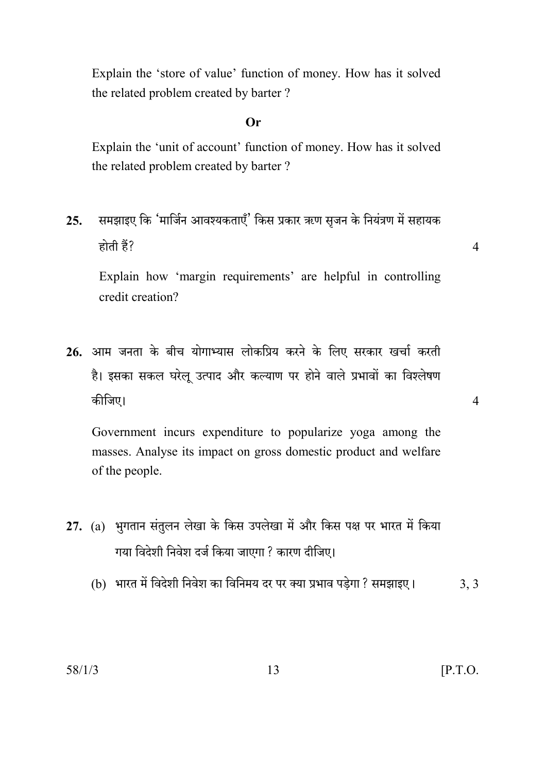Explain the 'store of value' function of money. How has it solved the related problem created by barter?

#### $Or$

Explain the 'unit of account' function of money. How has it solved the related problem created by barter?

समझाइए कि 'मार्जिन आवश्यकताएँ' किस प्रकार ऋण सृजन के नियंत्रण में सहायक  $25.$ होती हैं?

 $\overline{4}$ 

 $\overline{4}$ 

Explain how 'margin requirements' are helpful in controlling credit creation?

26. आम जनता के बीच योगाभ्यास लोकप्रिय करने के लिए सरकार खर्चा करती है। इसका सकल घरेलु उत्पाद और कल्याण पर होने वाले प्रभावों का विश्लेषण कीजिए।

Government incurs expenditure to popularize yoga among the masses. Analyse its impact on gross domestic product and welfare of the people.

- 27. (a) भुगतान संतुलन लेखा के किस उपलेखा में और किस पक्ष पर भारत में किया गया विदेशी निवेश दर्ज किया जाएगा ? कारण दीजिए।
	- (b) भारत में विदेशी निवेश का विनिमय दर पर क्या प्रभाव पड़ेगा ? समझाइए।  $3, 3$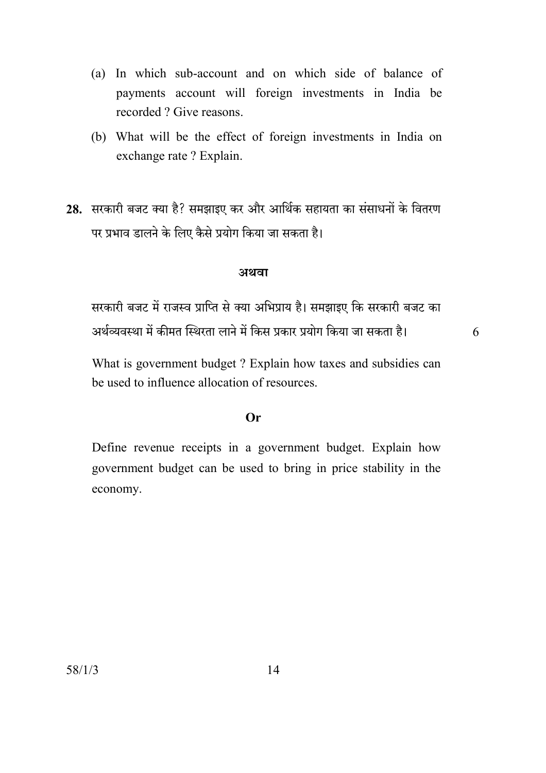- (a) In which sub-account and on which side of balance of payments account will foreign investments in India be recorded ? Give reasons.
- (b) What will be the effect of foreign investments in India on exchange rate ? Explain.
- 28. सरकारी बजट क्या है? समझाइए कर और आर्थिक सहायता का संसाधनों के वितरण पर प्रभाव डालने के लिए कैसे प्रयोग किया जा सकता है।

#### अथवा

सरकारी बजट में राजस्व प्राप्ति से क्या अभिप्राय है। समझाइए कि सरकारी बजट का अर्थव्यवस्था में कीमत स्थिरता लाने में किस प्रकार प्रयोग किया जा सकता है।

6

What is government budget ? Explain how taxes and subsidies can be used to influence allocation of resources.

#### $Or$

Define revenue receipts in a government budget. Explain how government budget can be used to bring in price stability in the economy.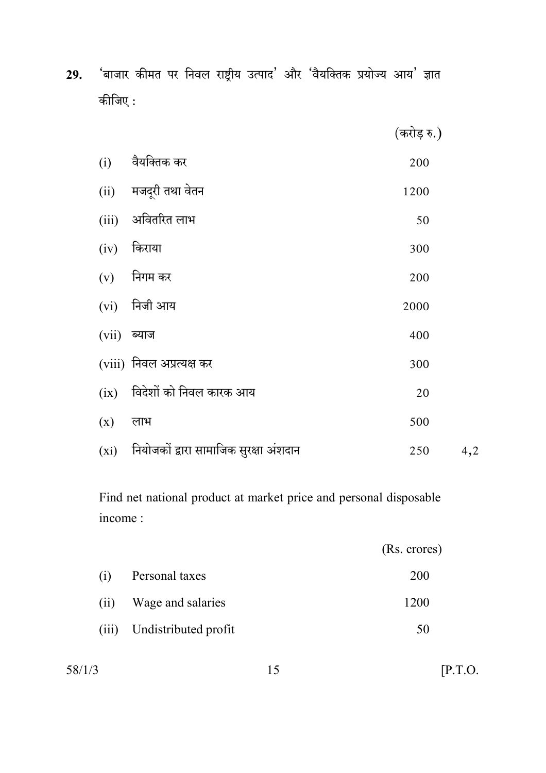'बाजार कीमत पर निवल राष्ट्रीय उत्पाद' और 'वैयक्तिक प्रयोज्य आय' ज्ञात 29. कीजिए :

(करोड़ रु.)

| (i)           | वैयक्तिक कर                                   | 200  |     |
|---------------|-----------------------------------------------|------|-----|
|               | (ii) मजदूरी तथा वेतन                          | 1200 |     |
| (iii)         | अवितरित लाभ                                   | 50   |     |
| (iv)          | किराया                                        | 300  |     |
|               | $(v)$ निगम कर                                 | 200  |     |
|               | $(vi)$ निजी आय                                | 2000 |     |
| $(vii)$ ब्याज |                                               | 400  |     |
|               | (viii) निवल अप्रत्यक्ष कर                     | 300  |     |
| (ix)          | विदेशों को निवल कारक आय                       | 20   |     |
| (x)           | लाभ                                           | 500  |     |
|               | $(xi)$ नियोजकों द्वारा सामाजिक सुरक्षा अंशदान | 250  | 4,2 |

Find net national product at market price and personal disposable income:

|      |                            | (Rs. crores) |
|------|----------------------------|--------------|
| (i)  | Personal taxes             | 200          |
| (ii) | Wage and salaries          | 1200         |
|      | (iii) Undistributed profit | 50           |